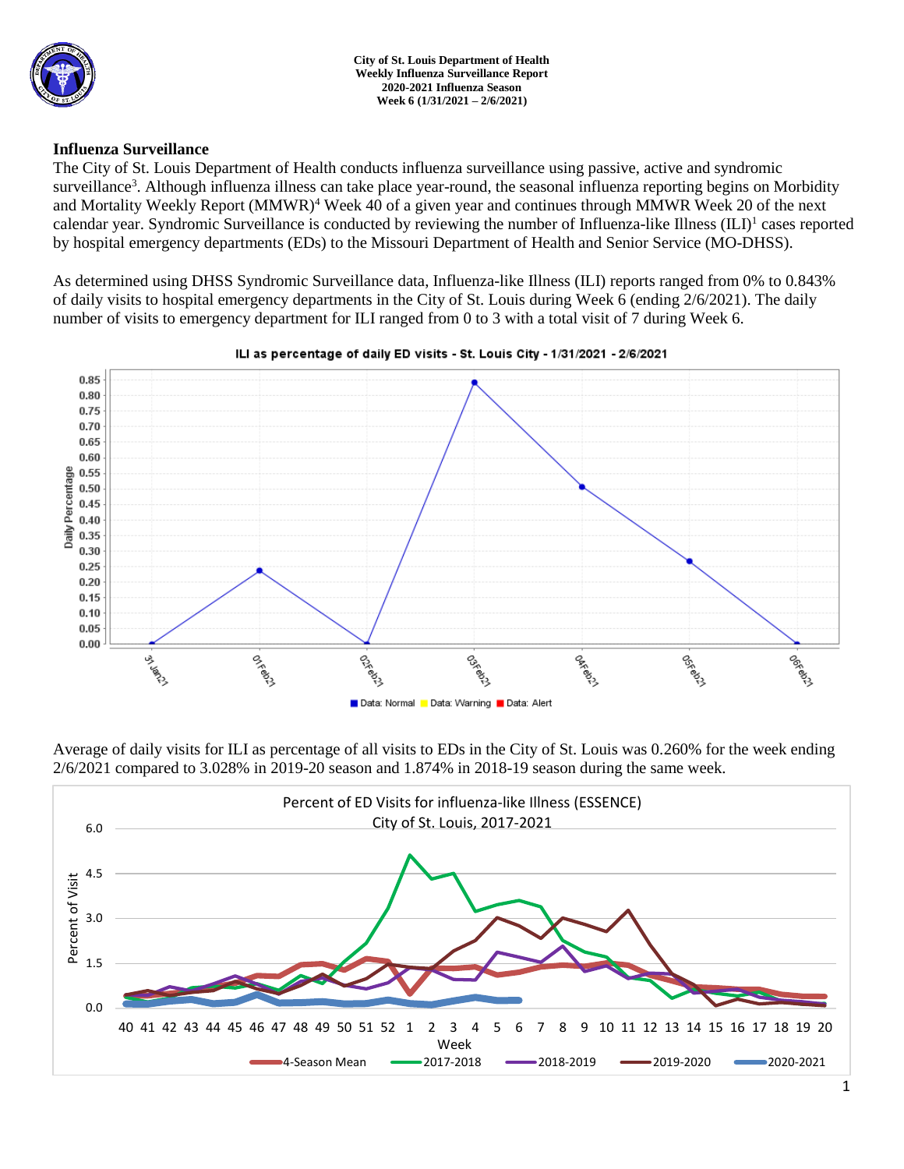

### **Influenza Surveillance**

The City of St. Louis Department of Health conducts influenza surveillance using passive, active and syndromic surveillance<sup>3</sup>. Although influenza illness can take place year-round, the seasonal influenza reporting begins on Morbidity and Mortality Weekly Report (MMWR)<sup>4</sup> Week 40 of a given year and continues through MMWR Week 20 of the next calendar year. Syndromic Surveillance is conducted by reviewing the number of Influenza-like Illness (ILI)<sup>1</sup> cases reported by hospital emergency departments (EDs) to the Missouri Department of Health and Senior Service (MO-DHSS).

As determined using DHSS Syndromic Surveillance data, Influenza-like Illness (ILI) reports ranged from 0% to 0.843% of daily visits to hospital emergency departments in the City of St. Louis during Week 6 (ending 2/6/2021). The daily number of visits to emergency department for ILI ranged from 0 to 3 with a total visit of 7 during Week 6.



### ILI as percentage of daily ED visits - St. Louis City - 1/31/2021 - 2/6/2021

Average of daily visits for ILI as percentage of all visits to EDs in the City of St. Louis was 0.260% for the week ending 2/6/2021 compared to 3.028% in 2019-20 season and 1.874% in 2018-19 season during the same week.

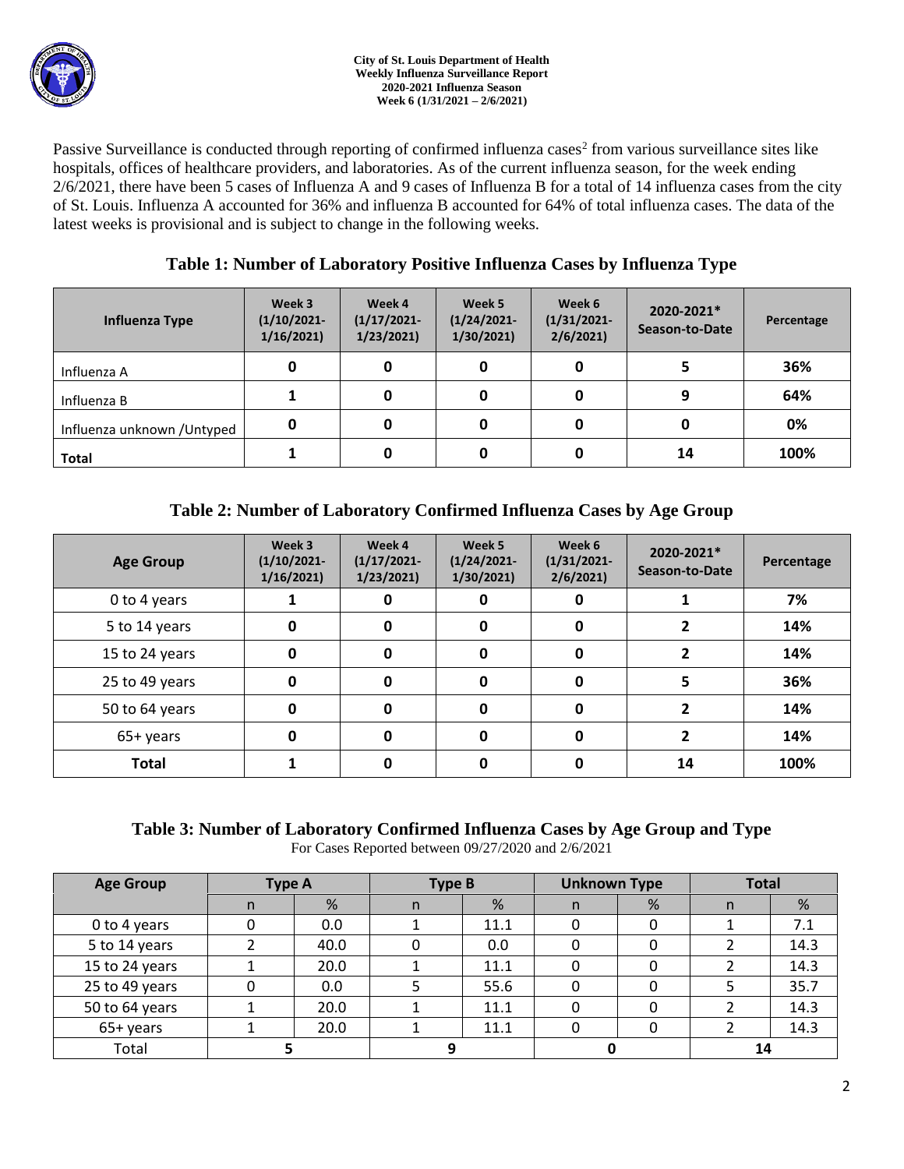Passive Surveillance is conducted through reporting of confirmed influenza cases<sup>2</sup> from various surveillance sites like hospitals, offices of healthcare providers, and laboratories. As of the current influenza season, for the week ending 2/6/2021, there have been 5 cases of Influenza A and 9 cases of Influenza B for a total of 14 influenza cases from the city of St. Louis. Influenza A accounted for 36% and influenza B accounted for 64% of total influenza cases. The data of the latest weeks is provisional and is subject to change in the following weeks.

## **Table 1: Number of Laboratory Positive Influenza Cases by Influenza Type**

| Influenza Type              | Week 3<br>$(1/10/2021 -$<br>1/16/2021 | Week 4<br>$(1/17/2021 -$<br>1/23/2021 | Week 5<br>$(1/24/2021 -$<br>1/30/2021 | Week 6<br>$(1/31/2021 -$<br>2/6/2021 | 2020-2021*<br>Season-to-Date | Percentage |
|-----------------------------|---------------------------------------|---------------------------------------|---------------------------------------|--------------------------------------|------------------------------|------------|
| Influenza A                 | 0                                     |                                       | 0                                     |                                      |                              | 36%        |
| Influenza B                 |                                       |                                       | 0                                     |                                      | 9                            | 64%        |
| Influenza unknown / Untyped | 0                                     |                                       | 0                                     |                                      |                              | 0%         |
| <b>Total</b>                |                                       |                                       | 0                                     |                                      | 14                           | 100%       |

# **Table 2: Number of Laboratory Confirmed Influenza Cases by Age Group**

| <b>Age Group</b> | Week 3<br>$(1/10/2021 -$<br>1/16/2021 | Week 4<br>$(1/17/2021 -$<br>1/23/2021 | Week 5<br>$(1/24/2021 -$<br>1/30/2021 | Week 6<br>$(1/31/2021 -$<br>2/6/2021 | 2020-2021*<br>Season-to-Date | Percentage |
|------------------|---------------------------------------|---------------------------------------|---------------------------------------|--------------------------------------|------------------------------|------------|
| 0 to 4 years     |                                       | 0                                     | 0                                     | 0                                    |                              | 7%         |
| 5 to 14 years    | 0                                     |                                       | 0                                     | 0                                    |                              | 14%        |
| 15 to 24 years   | 0                                     | 0                                     | 0                                     | 0                                    |                              | 14%        |
| 25 to 49 years   | 0                                     | 0                                     | 0                                     | 0                                    |                              | 36%        |
| 50 to 64 years   | 0                                     | O                                     | 0                                     | 0                                    |                              | 14%        |
| 0<br>65+ years   |                                       | O                                     | 0                                     | 0                                    |                              | 14%        |
| <b>Total</b>     |                                       |                                       | 0                                     |                                      | 14                           | 100%       |

# **Table 3: Number of Laboratory Confirmed Influenza Cases by Age Group and Type**

For Cases Reported between 09/27/2020 and 2/6/2021

| <b>Age Group</b> | Type A |      | <b>Type B</b> |      | <b>Unknown Type</b> |   | <b>Total</b> |      |
|------------------|--------|------|---------------|------|---------------------|---|--------------|------|
|                  | n      | %    | n             | %    | n                   | % | n            | %    |
| 0 to 4 years     |        | 0.0  |               | 11.1 | 0                   |   |              | 7.1  |
| 5 to 14 years    |        | 40.0 |               | 0.0  |                     |   |              | 14.3 |
| 15 to 24 years   |        | 20.0 |               | 11.1 |                     |   |              | 14.3 |
| 25 to 49 years   |        | 0.0  |               | 55.6 |                     |   |              | 35.7 |
| 50 to 64 years   |        | 20.0 |               | 11.1 | 0                   |   |              | 14.3 |
| 65+ years        |        | 20.0 |               | 11.1 | 0                   |   |              | 14.3 |
| Total            |        |      |               |      |                     |   | 14           |      |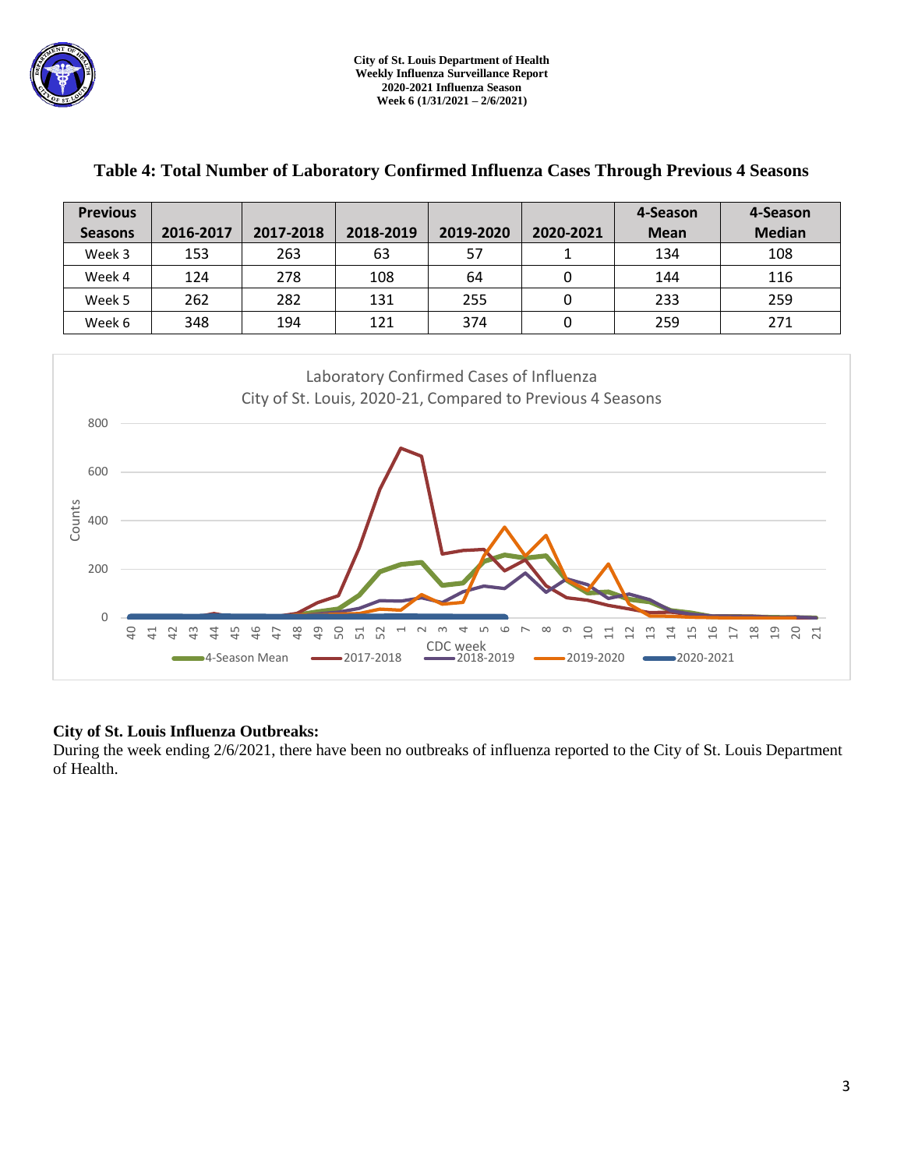

| <b>Previous</b><br><b>Seasons</b>                                                                                                                           | 2016-2017                                                                | 2017-2018                                                                | 2018-2019                                                              | 2019-2020                       | 2020-2021                       | 4-Season<br><b>Mean</b>                       | 4-Season<br><b>Median</b>                                               |  |  |
|-------------------------------------------------------------------------------------------------------------------------------------------------------------|--------------------------------------------------------------------------|--------------------------------------------------------------------------|------------------------------------------------------------------------|---------------------------------|---------------------------------|-----------------------------------------------|-------------------------------------------------------------------------|--|--|
| Week 3                                                                                                                                                      | 153                                                                      | 263                                                                      | 63                                                                     | 57                              | $\mathbf{1}$                    | 134                                           | 108                                                                     |  |  |
| Week 4                                                                                                                                                      | 124                                                                      | 278                                                                      | 108                                                                    | 64                              | $\pmb{0}$                       | 144                                           | 116                                                                     |  |  |
| Week 5                                                                                                                                                      | 262                                                                      | 282                                                                      | 131                                                                    | 255                             | $\pmb{0}$                       | 233                                           | 259                                                                     |  |  |
| Week 6                                                                                                                                                      | 348                                                                      | 194                                                                      | 121                                                                    | 374                             | $\pmb{0}$                       | 259                                           | 271                                                                     |  |  |
| Laboratory Confirmed Cases of Influenza<br>City of St. Louis, 2020-21, Compared to Previous 4 Seasons<br>800<br>600<br>Counts<br>400<br>200<br>$\mathbf{0}$ |                                                                          |                                                                          |                                                                        |                                 |                                 |                                               |                                                                         |  |  |
| $\overline{a}$                                                                                                                                              | $\frac{3}{4}$<br>$\overline{41}$<br>$\overline{a}$<br>4<br>$\frac{4}{5}$ | 48<br>$\overline{6}$<br>$\frac{9}{5}$<br>$\frac{1}{2}$<br>■4-Season Mean | 50<br>$\overline{\phantom{0}}$<br>51<br>52<br>$\sim$<br>$-2017 - 2018$ | ₹<br>CDC week<br>$-2018 - 2019$ | ന<br>$\Xi$<br>급<br>$-2019-2020$ | $\frac{6}{1}$<br>$\mathfrak{a}$<br>■2020-2021 | $\frac{8}{18}$<br>$\overline{1}9$<br>20<br>$\overline{17}$<br><u>្ក</u> |  |  |

### **Table 4: Total Number of Laboratory Confirmed Influenza Cases Through Previous 4 Seasons**

### **City of St. Louis Influenza Outbreaks:**

During the week ending 2/6/2021, there have been no outbreaks of influenza reported to the City of St. Louis Department of Health.